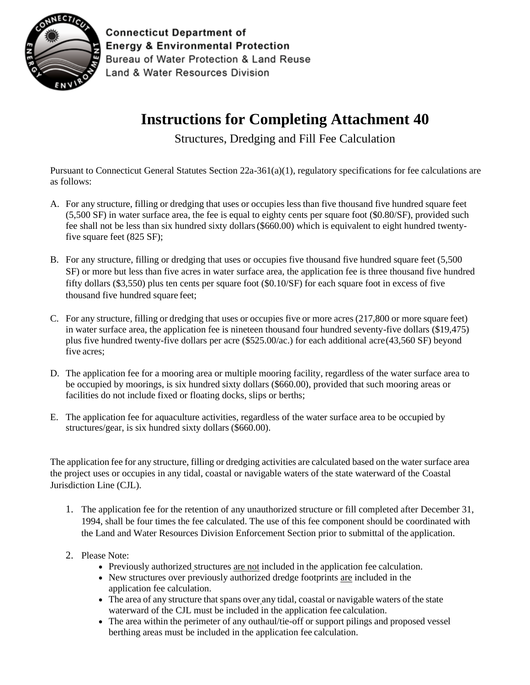

**Connecticut Department of Energy & Environmental Protection** Bureau of Water Protection & Land Reuse Land & Water Resources Division

## **Instructions for Completing Attachment 40**

Structures, Dredging and Fill Fee Calculation

Pursuant to Connecticut General Statutes Section 22a-361(a)(1), regulatory specifications for fee calculations are as follows:

- A. For any structure, filling or dredging that uses or occupies less than five thousand five hundred square feet (5,500 SF) in water surface area, the fee is equal to eighty cents per square foot (\$0.80/SF), provided such fee shall not be less than six hundred sixty dollars(\$660.00) which is equivalent to eight hundred twentyfive square feet (825 SF);
- B. For any structure, filling or dredging that uses or occupies five thousand five hundred square feet (5,500 SF) or more but less than five acres in water surface area, the application fee is three thousand five hundred fifty dollars (\$3,550) plus ten cents per square foot (\$0.10/SF) for each square foot in excess of five thousand five hundred square feet;
- C. For any structure, filling or dredging that uses or occupies five or more acres (217,800 or more square feet) in water surface area, the application fee is nineteen thousand four hundred seventy-five dollars (\$19,475) plus five hundred twenty-five dollars per acre (\$525.00/ac.) for each additional acre(43,560 SF) beyond five acres;
- D. The application fee for a mooring area or multiple mooring facility, regardless of the water surface area to be occupied by moorings, is six hundred sixty dollars (\$660.00), provided that such mooring areas or facilities do not include fixed or floating docks, slips or berths;
- E. The application fee for aquaculture activities, regardless of the water surface area to be occupied by structures/gear, is six hundred sixty dollars (\$660.00).

The application fee for any structure, filling or dredging activities are calculated based on the water surface area the project uses or occupies in any tidal, coastal or navigable waters of the state waterward of the Coastal Jurisdiction Line (CJL).

- 1. The application fee for the retention of any unauthorized structure or fill completed after December 31, 1994, shall be four times the fee calculated. The use of this fee component should be coordinated with the Land and Water Resources Division Enforcement Section prior to submittal of the application.
- 2. Please Note:
	- Previously authorized structures are not included in the application fee calculation.
	- New structures over previously authorized dredge footprints are included in the application fee calculation.
	- The area of any structure that spans over any tidal, coastal or navigable waters of the state waterward of the CJL must be included in the application fee calculation.
	- The area within the perimeter of any outhaul/tie-off or support pilings and proposed vessel berthing areas must be included in the application fee calculation.